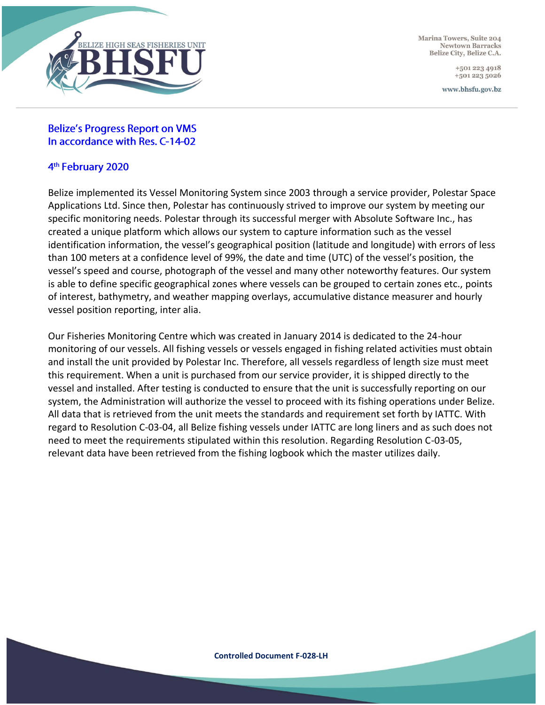

Marina Towers, Suite 204 Newtown Barracks Belize City, Belize C.A.

> +501 223 4918 +501 223 5026

www.bhsfu.gov.bz

#### **Belize's Progress Report on VMS** In accordance with Res. C-14-02

#### 4<sup>th</sup> February 2020

Belize implemented its Vessel Monitoring System since 2003 through a service provider, Polestar Space Applications Ltd. Since then, Polestar has continuously strived to improve our system by meeting our specific monitoring needs. Polestar through its successful merger with Absolute Software Inc., has created a unique platform which allows our system to capture information such as the vessel identification information, the vessel's geographical position (latitude and longitude) with errors of less than 100 meters at a confidence level of 99%, the date and time (UTC) of the vessel's position, the vessel's speed and course, photograph of the vessel and many other noteworthy features. Our system is able to define specific geographical zones where vessels can be grouped to certain zones etc., points of interest, bathymetry, and weather mapping overlays, accumulative distance measurer and hourly vessel position reporting, inter alia.

Our Fisheries Monitoring Centre which was created in January 2014 is dedicated to the 24-hour monitoring of our vessels. All fishing vessels or vessels engaged in fishing related activities must obtain and install the unit provided by Polestar Inc. Therefore, all vessels regardless of length size must meet this requirement. When a unit is purchased from our service provider, it is shipped directly to the vessel and installed. After testing is conducted to ensure that the unit is successfully reporting on our system, the Administration will authorize the vessel to proceed with its fishing operations under Belize. All data that is retrieved from the unit meets the standards and requirement set forth by IATTC. With regard to Resolution C-03-04, all Belize fishing vessels under IATTC are long liners and as such does not need to meet the requirements stipulated within this resolution. Regarding Resolution C-03-05, relevant data have been retrieved from the fishing logbook which the master utilizes daily.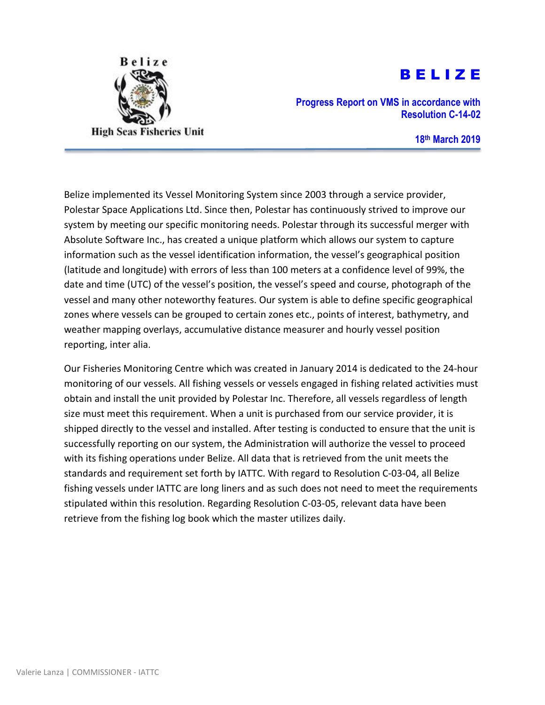

# B E L I Z E

**Progress Report on VMS in accordance with Resolution C-14-02**

**18th March 2019**

Belize implemented its Vessel Monitoring System since 2003 through a service provider, Polestar Space Applications Ltd. Since then, Polestar has continuously strived to improve our system by meeting our specific monitoring needs. Polestar through its successful merger with Absolute Software Inc., has created a unique platform which allows our system to capture information such as the vessel identification information, the vessel's geographical position (latitude and longitude) with errors of less than 100 meters at a confidence level of 99%, the date and time (UTC) of the vessel's position, the vessel's speed and course, photograph of the vessel and many other noteworthy features. Our system is able to define specific geographical zones where vessels can be grouped to certain zones etc., points of interest, bathymetry, and weather mapping overlays, accumulative distance measurer and hourly vessel position reporting, inter alia.

Our Fisheries Monitoring Centre which was created in January 2014 is dedicated to the 24-hour monitoring of our vessels. All fishing vessels or vessels engaged in fishing related activities must obtain and install the unit provided by Polestar Inc. Therefore, all vessels regardless of length size must meet this requirement. When a unit is purchased from our service provider, it is shipped directly to the vessel and installed. After testing is conducted to ensure that the unit is successfully reporting on our system, the Administration will authorize the vessel to proceed with its fishing operations under Belize. All data that is retrieved from the unit meets the standards and requirement set forth by IATTC. With regard to Resolution C-03-04, all Belize fishing vessels under IATTC are long liners and as such does not need to meet the requirements stipulated within this resolution. Regarding Resolution C-03-05, relevant data have been retrieve from the fishing log book which the master utilizes daily.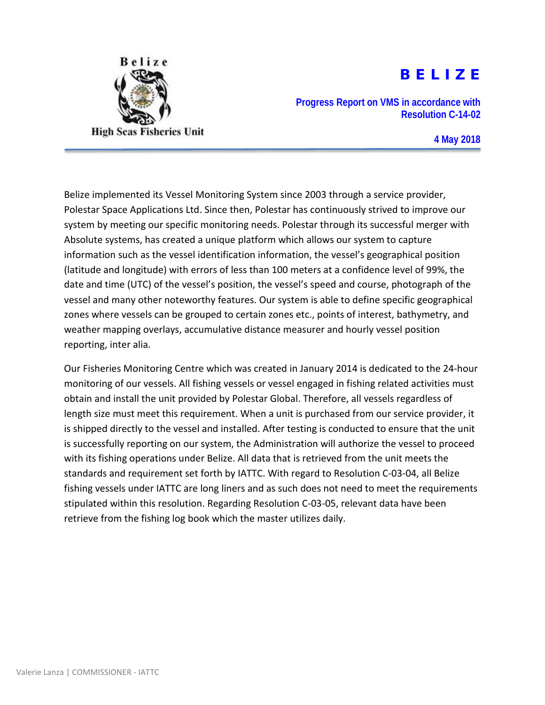

# B E L I Z E

**Progress Report on VMS in accordance with Resolution C-14-02**

**4 May 2018**

Belize implemented its Vessel Monitoring System since 2003 through a service provider, Polestar Space Applications Ltd. Since then, Polestar has continuously strived to improve our system by meeting our specific monitoring needs. Polestar through its successful merger with Absolute systems, has created a unique platform which allows our system to capture information such as the vessel identification information, the vessel's geographical position (latitude and longitude) with errors of less than 100 meters at a confidence level of 99%, the date and time (UTC) of the vessel's position, the vessel's speed and course, photograph of the vessel and many other noteworthy features. Our system is able to define specific geographical zones where vessels can be grouped to certain zones etc., points of interest, bathymetry, and weather mapping overlays, accumulative distance measurer and hourly vessel position reporting, inter alia.

Our Fisheries Monitoring Centre which was created in January 2014 is dedicated to the 24-hour monitoring of our vessels. All fishing vessels or vessel engaged in fishing related activities must obtain and install the unit provided by Polestar Global. Therefore, all vessels regardless of length size must meet this requirement. When a unit is purchased from our service provider, it is shipped directly to the vessel and installed. After testing is conducted to ensure that the unit is successfully reporting on our system, the Administration will authorize the vessel to proceed with its fishing operations under Belize. All data that is retrieved from the unit meets the standards and requirement set forth by IATTC. With regard to Resolution C-03-04, all Belize fishing vessels under IATTC are long liners and as such does not need to meet the requirements stipulated within this resolution. Regarding Resolution C-03-05, relevant data have been retrieve from the fishing log book which the master utilizes daily.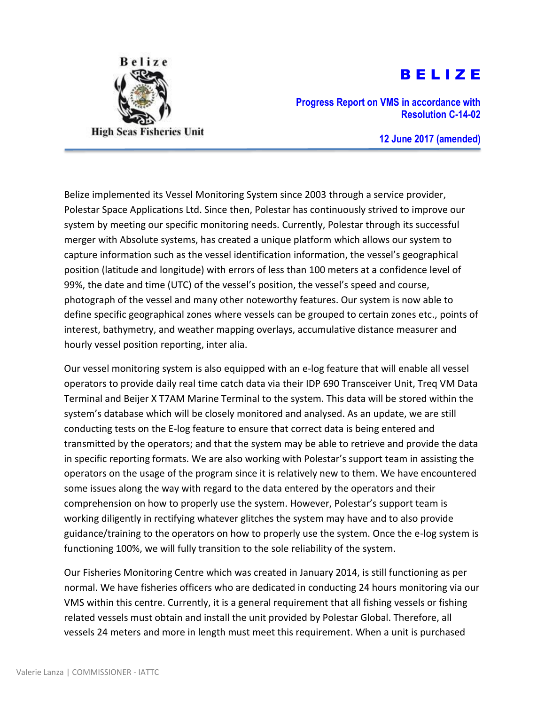

# B E L I Z E

**Progress Report on VMS in accordance with Resolution C-14-02**

**12 June 2017 (amended)**

Belize implemented its Vessel Monitoring System since 2003 through a service provider, Polestar Space Applications Ltd. Since then, Polestar has continuously strived to improve our system by meeting our specific monitoring needs. Currently, Polestar through its successful merger with Absolute systems, has created a unique platform which allows our system to capture information such as the vessel identification information, the vessel's geographical position (latitude and longitude) with errors of less than 100 meters at a confidence level of 99%, the date and time (UTC) of the vessel's position, the vessel's speed and course, photograph of the vessel and many other noteworthy features. Our system is now able to define specific geographical zones where vessels can be grouped to certain zones etc., points of interest, bathymetry, and weather mapping overlays, accumulative distance measurer and hourly vessel position reporting, inter alia.

Our vessel monitoring system is also equipped with an e-log feature that will enable all vessel operators to provide daily real time catch data via their IDP 690 Transceiver Unit, Treq VM Data Terminal and Beijer X T7AM Marine Terminal to the system. This data will be stored within the system's database which will be closely monitored and analysed. As an update, we are still conducting tests on the E-log feature to ensure that correct data is being entered and transmitted by the operators; and that the system may be able to retrieve and provide the data in specific reporting formats. We are also working with Polestar's support team in assisting the operators on the usage of the program since it is relatively new to them. We have encountered some issues along the way with regard to the data entered by the operators and their comprehension on how to properly use the system. However, Polestar's support team is working diligently in rectifying whatever glitches the system may have and to also provide guidance/training to the operators on how to properly use the system. Once the e-log system is functioning 100%, we will fully transition to the sole reliability of the system.

Our Fisheries Monitoring Centre which was created in January 2014, is still functioning as per normal. We have fisheries officers who are dedicated in conducting 24 hours monitoring via our VMS within this centre. Currently, it is a general requirement that all fishing vessels or fishing related vessels must obtain and install the unit provided by Polestar Global. Therefore, all vessels 24 meters and more in length must meet this requirement. When a unit is purchased